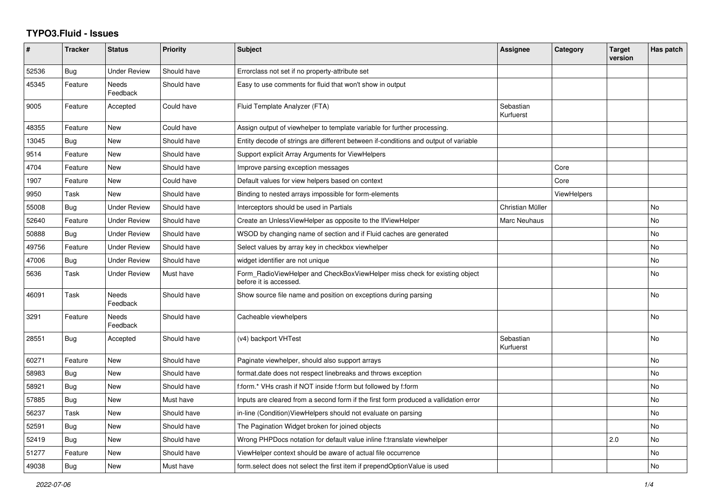## **TYPO3.Fluid - Issues**

| #     | <b>Tracker</b> | <b>Status</b>            | <b>Priority</b> | Subject                                                                                              | <b>Assignee</b>        | Category    | <b>Target</b><br>version | Has patch |
|-------|----------------|--------------------------|-----------------|------------------------------------------------------------------------------------------------------|------------------------|-------------|--------------------------|-----------|
| 52536 | Bug            | <b>Under Review</b>      | Should have     | Errorclass not set if no property-attribute set                                                      |                        |             |                          |           |
| 45345 | Feature        | Needs<br>Feedback        | Should have     | Easy to use comments for fluid that won't show in output                                             |                        |             |                          |           |
| 9005  | Feature        | Accepted                 | Could have      | Fluid Template Analyzer (FTA)                                                                        | Sebastian<br>Kurfuerst |             |                          |           |
| 48355 | Feature        | <b>New</b>               | Could have      | Assign output of viewhelper to template variable for further processing.                             |                        |             |                          |           |
| 13045 | <b>Bug</b>     | New                      | Should have     | Entity decode of strings are different between if-conditions and output of variable                  |                        |             |                          |           |
| 9514  | Feature        | New                      | Should have     | Support explicit Array Arguments for ViewHelpers                                                     |                        |             |                          |           |
| 4704  | Feature        | New                      | Should have     | Improve parsing exception messages                                                                   |                        | Core        |                          |           |
| 1907  | Feature        | <b>New</b>               | Could have      | Default values for view helpers based on context                                                     |                        | Core        |                          |           |
| 9950  | Task           | <b>New</b>               | Should have     | Binding to nested arrays impossible for form-elements                                                |                        | ViewHelpers |                          |           |
| 55008 | Bug            | <b>Under Review</b>      | Should have     | Interceptors should be used in Partials                                                              | Christian Müller       |             |                          | No        |
| 52640 | Feature        | <b>Under Review</b>      | Should have     | Create an UnlessViewHelper as opposite to the IfViewHelper                                           | <b>Marc Neuhaus</b>    |             |                          | <b>No</b> |
| 50888 | Bug            | <b>Under Review</b>      | Should have     | WSOD by changing name of section and if Fluid caches are generated                                   |                        |             |                          | <b>No</b> |
| 49756 | Feature        | <b>Under Review</b>      | Should have     | Select values by array key in checkbox viewhelper                                                    |                        |             |                          | No        |
| 47006 | <b>Bug</b>     | <b>Under Review</b>      | Should have     | widget identifier are not unique                                                                     |                        |             |                          | <b>No</b> |
| 5636  | Task           | <b>Under Review</b>      | Must have       | Form RadioViewHelper and CheckBoxViewHelper miss check for existing object<br>before it is accessed. |                        |             |                          | <b>No</b> |
| 46091 | Task           | <b>Needs</b><br>Feedback | Should have     | Show source file name and position on exceptions during parsing                                      |                        |             |                          | No        |
| 3291  | Feature        | Needs<br>Feedback        | Should have     | Cacheable viewhelpers                                                                                |                        |             |                          | No        |
| 28551 | Bug            | Accepted                 | Should have     | (v4) backport VHTest                                                                                 | Sebastian<br>Kurfuerst |             |                          | No        |
| 60271 | Feature        | New                      | Should have     | Paginate viewhelper, should also support arrays                                                      |                        |             |                          | <b>No</b> |
| 58983 | <b>Bug</b>     | <b>New</b>               | Should have     | format.date does not respect linebreaks and throws exception                                         |                        |             |                          | <b>No</b> |
| 58921 | Bug            | New                      | Should have     | f:form.* VHs crash if NOT inside f:form but followed by f:form                                       |                        |             |                          | No        |
| 57885 | Bug            | <b>New</b>               | Must have       | Inputs are cleared from a second form if the first form produced a vallidation error                 |                        |             |                          | <b>No</b> |
| 56237 | Task           | New                      | Should have     | in-line (Condition) View Helpers should not evaluate on parsing                                      |                        |             |                          | <b>No</b> |
| 52591 | <b>Bug</b>     | New                      | Should have     | The Pagination Widget broken for joined objects                                                      |                        |             |                          | No        |
| 52419 | Bug            | New                      | Should have     | Wrong PHPDocs notation for default value inline f:translate viewhelper                               |                        |             | 2.0                      | No        |
| 51277 | Feature        | New                      | Should have     | ViewHelper context should be aware of actual file occurrence                                         |                        |             |                          | <b>No</b> |
| 49038 | Bug            | New                      | Must have       | form select does not select the first item if prependOptionValue is used                             |                        |             |                          | No        |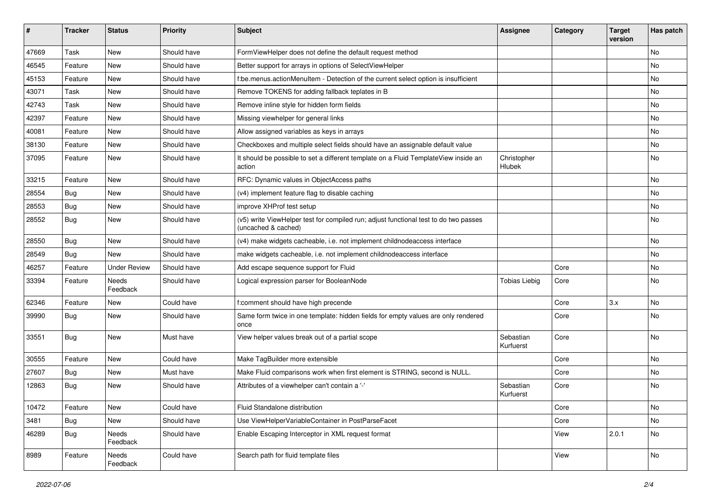| #     | <b>Tracker</b> | <b>Status</b>       | <b>Priority</b> | <b>Subject</b>                                                                                              | <b>Assignee</b>        | Category | <b>Target</b><br>version | Has patch |
|-------|----------------|---------------------|-----------------|-------------------------------------------------------------------------------------------------------------|------------------------|----------|--------------------------|-----------|
| 47669 | Task           | New                 | Should have     | FormViewHelper does not define the default request method                                                   |                        |          |                          | <b>No</b> |
| 46545 | Feature        | New                 | Should have     | Better support for arrays in options of SelectViewHelper                                                    |                        |          |                          | No        |
| 45153 | Feature        | New                 | Should have     | f:be.menus.actionMenuItem - Detection of the current select option is insufficient                          |                        |          |                          | No        |
| 43071 | Task           | <b>New</b>          | Should have     | Remove TOKENS for adding fallback teplates in B                                                             |                        |          |                          | No        |
| 42743 | Task           | <b>New</b>          | Should have     | Remove inline style for hidden form fields                                                                  |                        |          |                          | No        |
| 42397 | Feature        | New                 | Should have     | Missing viewhelper for general links                                                                        |                        |          |                          | No        |
| 40081 | Feature        | New                 | Should have     | Allow assigned variables as keys in arrays                                                                  |                        |          |                          | No        |
| 38130 | Feature        | New                 | Should have     | Checkboxes and multiple select fields should have an assignable default value                               |                        |          |                          | No        |
| 37095 | Feature        | <b>New</b>          | Should have     | It should be possible to set a different template on a Fluid TemplateView inside an<br>action               | Christopher<br>Hlubek  |          |                          | No        |
| 33215 | Feature        | <b>New</b>          | Should have     | RFC: Dynamic values in ObjectAccess paths                                                                   |                        |          |                          | No        |
| 28554 | Bug            | New                 | Should have     | (v4) implement feature flag to disable caching                                                              |                        |          |                          | No        |
| 28553 | Bug            | New                 | Should have     | improve XHProf test setup                                                                                   |                        |          |                          | No        |
| 28552 | Bug            | New                 | Should have     | (v5) write ViewHelper test for compiled run; adjust functional test to do two passes<br>(uncached & cached) |                        |          |                          | No        |
| 28550 | Bug            | New                 | Should have     | (v4) make widgets cacheable, i.e. not implement childnodeaccess interface                                   |                        |          |                          | No        |
| 28549 | Bug            | <b>New</b>          | Should have     | make widgets cacheable, i.e. not implement childnodeaccess interface                                        |                        |          |                          | <b>No</b> |
| 46257 | Feature        | <b>Under Review</b> | Should have     | Add escape sequence support for Fluid                                                                       |                        | Core     |                          | No        |
| 33394 | Feature        | Needs<br>Feedback   | Should have     | Logical expression parser for BooleanNode                                                                   | <b>Tobias Liebig</b>   | Core     |                          | <b>No</b> |
| 62346 | Feature        | New                 | Could have      | f:comment should have high precende                                                                         |                        | Core     | 3.x                      | <b>No</b> |
| 39990 | Bug            | New                 | Should have     | Same form twice in one template: hidden fields for empty values are only rendered<br>once                   |                        | Core     |                          | No        |
| 33551 | Bug            | New                 | Must have       | View helper values break out of a partial scope                                                             | Sebastian<br>Kurfuerst | Core     |                          | <b>No</b> |
| 30555 | Feature        | New                 | Could have      | Make TagBuilder more extensible                                                                             |                        | Core     |                          | No        |
| 27607 | Bug            | New                 | Must have       | Make Fluid comparisons work when first element is STRING, second is NULL.                                   |                        | Core     |                          | No        |
| 12863 | Bug            | New                 | Should have     | Attributes of a viewhelper can't contain a '-'                                                              | Sebastian<br>Kurfuerst | Core     |                          | No        |
| 10472 | Feature        | New                 | Could have      | Fluid Standalone distribution                                                                               |                        | Core     |                          | No        |
| 3481  | <b>Bug</b>     | New                 | Should have     | Use ViewHelperVariableContainer in PostParseFacet                                                           |                        | Core     |                          | No        |
| 46289 | Bug            | Needs<br>Feedback   | Should have     | Enable Escaping Interceptor in XML request format                                                           |                        | View     | 2.0.1                    | No        |
| 8989  | Feature        | Needs<br>Feedback   | Could have      | Search path for fluid template files                                                                        |                        | View     |                          | No        |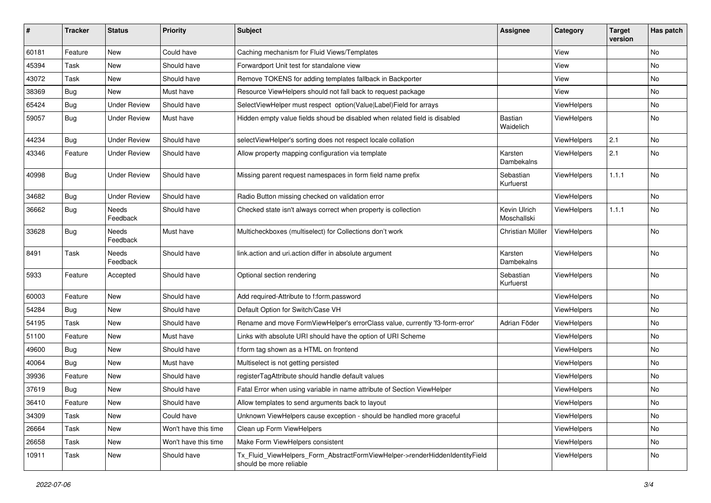| #     | <b>Tracker</b> | <b>Status</b>       | Priority             | Subject                                                                                                | Assignee                    | Category           | <b>Target</b><br>version | Has patch |
|-------|----------------|---------------------|----------------------|--------------------------------------------------------------------------------------------------------|-----------------------------|--------------------|--------------------------|-----------|
| 60181 | Feature        | New                 | Could have           | Caching mechanism for Fluid Views/Templates                                                            |                             | View               |                          | <b>No</b> |
| 45394 | Task           | New                 | Should have          | Forwardport Unit test for standalone view                                                              |                             | View               |                          | No        |
| 43072 | Task           | New                 | Should have          | Remove TOKENS for adding templates fallback in Backporter                                              |                             | View               |                          | No        |
| 38369 | Bug            | New                 | Must have            | Resource ViewHelpers should not fall back to request package                                           |                             | View               |                          | No        |
| 65424 | Bug            | <b>Under Review</b> | Should have          | SelectViewHelper must respect option(Value Label)Field for arrays                                      |                             | ViewHelpers        |                          | No        |
| 59057 | Bug            | <b>Under Review</b> | Must have            | Hidden empty value fields shoud be disabled when related field is disabled                             | <b>Bastian</b><br>Waidelich | ViewHelpers        |                          | No        |
| 44234 | <b>Bug</b>     | <b>Under Review</b> | Should have          | selectViewHelper's sorting does not respect locale collation                                           |                             | ViewHelpers        | 2.1                      | <b>No</b> |
| 43346 | Feature        | <b>Under Review</b> | Should have          | Allow property mapping configuration via template                                                      | Karsten<br>Dambekalns       | ViewHelpers        | 2.1                      | No        |
| 40998 | <b>Bug</b>     | Under Review        | Should have          | Missing parent request namespaces in form field name prefix                                            | Sebastian<br>Kurfuerst      | ViewHelpers        | 1.1.1                    | No        |
| 34682 | Bug            | <b>Under Review</b> | Should have          | Radio Button missing checked on validation error                                                       |                             | ViewHelpers        |                          | No        |
| 36662 | <b>Bug</b>     | Needs<br>Feedback   | Should have          | Checked state isn't always correct when property is collection                                         | Kevin Ulrich<br>Moschallski | ViewHelpers        | 1.1.1                    | No        |
| 33628 | Bug            | Needs<br>Feedback   | Must have            | Multicheckboxes (multiselect) for Collections don't work                                               | Christian Müller            | ViewHelpers        |                          | <b>No</b> |
| 8491  | Task           | Needs<br>Feedback   | Should have          | link.action and uri.action differ in absolute argument                                                 | Karsten<br>Dambekalns       | ViewHelpers        |                          | <b>No</b> |
| 5933  | Feature        | Accepted            | Should have          | Optional section rendering                                                                             | Sebastian<br>Kurfuerst      | ViewHelpers        |                          | No        |
| 60003 | Feature        | New                 | Should have          | Add required-Attribute to f:form.password                                                              |                             | ViewHelpers        |                          | No        |
| 54284 | <b>Bug</b>     | New                 | Should have          | Default Option for Switch/Case VH                                                                      |                             | ViewHelpers        |                          | No        |
| 54195 | Task           | New                 | Should have          | Rename and move FormViewHelper's errorClass value, currently 'f3-form-error'                           | Adrian Föder                | <b>ViewHelpers</b> |                          | No        |
| 51100 | Feature        | New                 | Must have            | Links with absolute URI should have the option of URI Scheme                                           |                             | ViewHelpers        |                          | <b>No</b> |
| 49600 | <b>Bug</b>     | New                 | Should have          | f:form tag shown as a HTML on frontend                                                                 |                             | ViewHelpers        |                          | No        |
| 40064 | <b>Bug</b>     | New                 | Must have            | Multiselect is not getting persisted                                                                   |                             | ViewHelpers        |                          | No        |
| 39936 | Feature        | New                 | Should have          | registerTagAttribute should handle default values                                                      |                             | ViewHelpers        |                          | No        |
| 37619 | Bug            | New                 | Should have          | Fatal Error when using variable in name attribute of Section ViewHelper                                |                             | <b>ViewHelpers</b> |                          | No        |
| 36410 | Feature        | New                 | Should have          | Allow templates to send arguments back to layout                                                       |                             | ViewHelpers        |                          | No        |
| 34309 | Task           | New                 | Could have           | Unknown ViewHelpers cause exception - should be handled more graceful                                  |                             | ViewHelpers        |                          | No        |
| 26664 | Task           | New                 | Won't have this time | Clean up Form ViewHelpers                                                                              |                             | ViewHelpers        |                          | No        |
| 26658 | Task           | New                 | Won't have this time | Make Form ViewHelpers consistent                                                                       |                             | ViewHelpers        |                          | No        |
| 10911 | Task           | New                 | Should have          | Tx Fluid ViewHelpers Form AbstractFormViewHelper->renderHiddenIdentityField<br>should be more reliable |                             | ViewHelpers        |                          | No        |